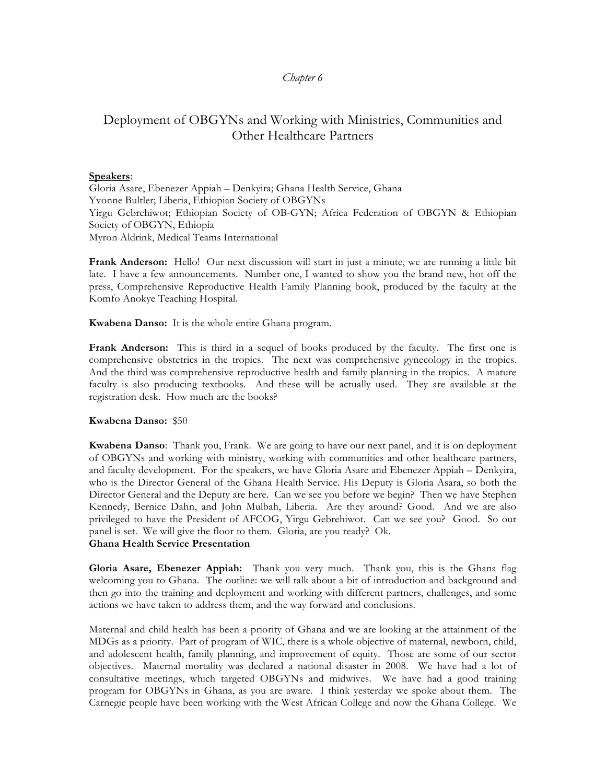## *Chapter 6*

# Deployment of OBGYNs and Working with Ministries, Communities and Other Healthcare Partners

#### **Speakers**:

Gloria Asare, Ebenezer Appiah – Denkyira; Ghana Health Service, Ghana Yvonne Bultler; Liberia, Ethiopian Society of OBGYNs Yirgu Gebrehiwot; Ethiopian Society of OB-GYN; Africa Federation of OBGYN & Ethiopian Society of OBGYN, Ethiopia Myron Aldrink, Medical Teams International

**Frank Anderson:** Hello! Our next discussion will start in just a minute, we are running a little bit late. I have a few announcements. Number one, I wanted to show you the brand new, hot off the press, Comprehensive Reproductive Health Family Planning book, produced by the faculty at the Komfo Anokye Teaching Hospital.

**Kwabena Danso:** It is the whole entire Ghana program.

**Frank Anderson:** This is third in a sequel of books produced by the faculty. The first one is comprehensive obstetrics in the tropics. The next was comprehensive gynecology in the tropics. And the third was comprehensive reproductive health and family planning in the tropics. A mature faculty is also producing textbooks. And these will be actually used. They are available at the registration desk. How much are the books?

#### **Kwabena Danso:** \$50

**Kwabena Danso**: Thank you, Frank. We are going to have our next panel, and it is on deployment of OBGYNs and working with ministry, working with communities and other healthcare partners, and faculty development. For the speakers, we have Gloria Asare and Ebenezer Appiah – Denkyira, who is the Director General of the Ghana Health Service. His Deputy is Gloria Asara, so both the Director General and the Deputy are here. Can we see you before we begin? Then we have Stephen Kennedy, Bernice Dahn, and John Mulbah, Liberia. Are they around? Good. And we are also privileged to have the President of AFCOG, Yirgu Gebrehiwot. Can we see you? Good. So our panel is set. We will give the floor to them. Gloria, are you ready? Ok.

#### **Ghana Health Service Presentation**

**Gloria Asare, Ebenezer Appiah:** Thank you very much. Thank you, this is the Ghana flag welcoming you to Ghana. The outline: we will talk about a bit of introduction and background and then go into the training and deployment and working with different partners, challenges, and some actions we have taken to address them, and the way forward and conclusions.

Maternal and child health has been a priority of Ghana and we are looking at the attainment of the MDGs as a priority. Part of program of WIC, there is a whole objective of maternal, newborn, child, and adolescent health, family planning, and improvement of equity. Those are some of our sector objectives. Maternal mortality was declared a national disaster in 2008. We have had a lot of consultative meetings, which targeted OBGYNs and midwives. We have had a good training program for OBGYNs in Ghana, as you are aware. I think yesterday we spoke about them. The Carnegie people have been working with the West African College and now the Ghana College. We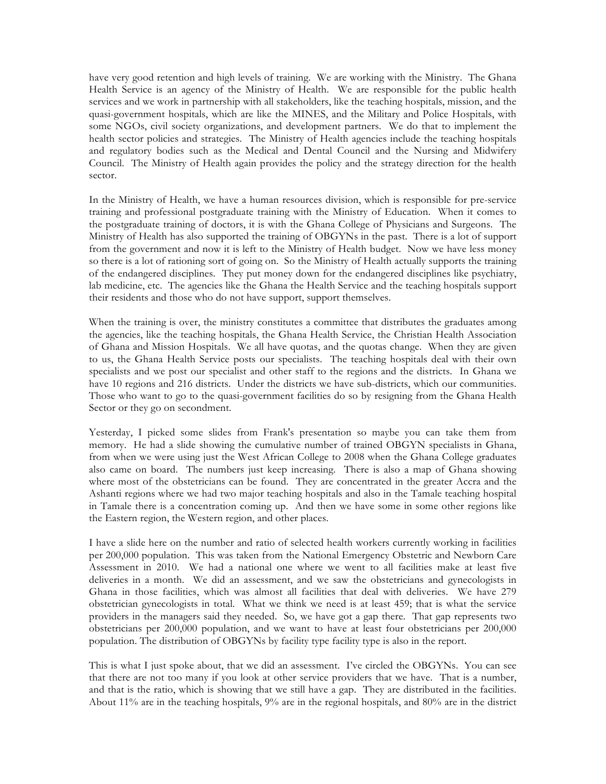have very good retention and high levels of training. We are working with the Ministry. The Ghana Health Service is an agency of the Ministry of Health. We are responsible for the public health services and we work in partnership with all stakeholders, like the teaching hospitals, mission, and the quasi-government hospitals, which are like the MINES, and the Military and Police Hospitals, with some NGOs, civil society organizations, and development partners. We do that to implement the health sector policies and strategies. The Ministry of Health agencies include the teaching hospitals and regulatory bodies such as the Medical and Dental Council and the Nursing and Midwifery Council. The Ministry of Health again provides the policy and the strategy direction for the health sector.

In the Ministry of Health, we have a human resources division, which is responsible for pre-service training and professional postgraduate training with the Ministry of Education. When it comes to the postgraduate training of doctors, it is with the Ghana College of Physicians and Surgeons. The Ministry of Health has also supported the training of OBGYNs in the past. There is a lot of support from the government and now it is left to the Ministry of Health budget. Now we have less money so there is a lot of rationing sort of going on. So the Ministry of Health actually supports the training of the endangered disciplines. They put money down for the endangered disciplines like psychiatry, lab medicine, etc. The agencies like the Ghana the Health Service and the teaching hospitals support their residents and those who do not have support, support themselves.

When the training is over, the ministry constitutes a committee that distributes the graduates among the agencies, like the teaching hospitals, the Ghana Health Service, the Christian Health Association of Ghana and Mission Hospitals. We all have quotas, and the quotas change. When they are given to us, the Ghana Health Service posts our specialists. The teaching hospitals deal with their own specialists and we post our specialist and other staff to the regions and the districts. In Ghana we have 10 regions and 216 districts. Under the districts we have sub-districts, which our communities. Those who want to go to the quasi-government facilities do so by resigning from the Ghana Health Sector or they go on secondment.

Yesterday, I picked some slides from Frank's presentation so maybe you can take them from memory. He had a slide showing the cumulative number of trained OBGYN specialists in Ghana, from when we were using just the West African College to 2008 when the Ghana College graduates also came on board. The numbers just keep increasing. There is also a map of Ghana showing where most of the obstetricians can be found. They are concentrated in the greater Accra and the Ashanti regions where we had two major teaching hospitals and also in the Tamale teaching hospital in Tamale there is a concentration coming up. And then we have some in some other regions like the Eastern region, the Western region, and other places.

I have a slide here on the number and ratio of selected health workers currently working in facilities per 200,000 population. This was taken from the National Emergency Obstetric and Newborn Care Assessment in 2010. We had a national one where we went to all facilities make at least five deliveries in a month. We did an assessment, and we saw the obstetricians and gynecologists in Ghana in those facilities, which was almost all facilities that deal with deliveries. We have 279 obstetrician gynecologists in total. What we think we need is at least 459; that is what the service providers in the managers said they needed. So, we have got a gap there. That gap represents two obstetricians per 200,000 population, and we want to have at least four obstetricians per 200,000 population. The distribution of OBGYNs by facility type facility type is also in the report.

This is what I just spoke about, that we did an assessment. I've circled the OBGYNs. You can see that there are not too many if you look at other service providers that we have. That is a number, and that is the ratio, which is showing that we still have a gap. They are distributed in the facilities. About 11% are in the teaching hospitals, 9% are in the regional hospitals, and 80% are in the district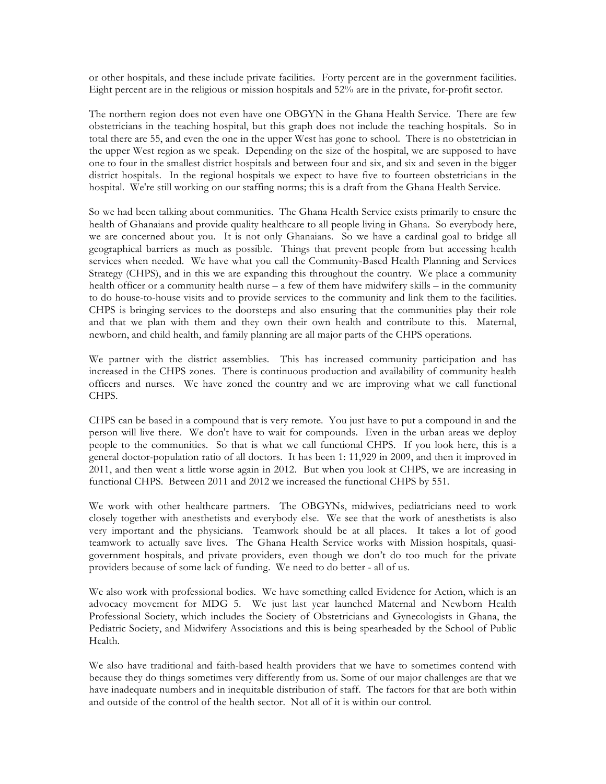or other hospitals, and these include private facilities. Forty percent are in the government facilities. Eight percent are in the religious or mission hospitals and 52% are in the private, for-profit sector.

The northern region does not even have one OBGYN in the Ghana Health Service. There are few obstetricians in the teaching hospital, but this graph does not include the teaching hospitals. So in total there are 55, and even the one in the upper West has gone to school. There is no obstetrician in the upper West region as we speak. Depending on the size of the hospital, we are supposed to have one to four in the smallest district hospitals and between four and six, and six and seven in the bigger district hospitals. In the regional hospitals we expect to have five to fourteen obstetricians in the hospital. We're still working on our staffing norms; this is a draft from the Ghana Health Service.

So we had been talking about communities. The Ghana Health Service exists primarily to ensure the health of Ghanaians and provide quality healthcare to all people living in Ghana. So everybody here, we are concerned about you. It is not only Ghanaians. So we have a cardinal goal to bridge all geographical barriers as much as possible. Things that prevent people from but accessing health services when needed. We have what you call the Community-Based Health Planning and Services Strategy (CHPS), and in this we are expanding this throughout the country. We place a community health officer or a community health nurse – a few of them have midwifery skills – in the community to do house-to-house visits and to provide services to the community and link them to the facilities. CHPS is bringing services to the doorsteps and also ensuring that the communities play their role and that we plan with them and they own their own health and contribute to this. Maternal, newborn, and child health, and family planning are all major parts of the CHPS operations.

We partner with the district assemblies. This has increased community participation and has increased in the CHPS zones. There is continuous production and availability of community health officers and nurses. We have zoned the country and we are improving what we call functional CHPS.

CHPS can be based in a compound that is very remote. You just have to put a compound in and the person will live there. We don't have to wait for compounds. Even in the urban areas we deploy people to the communities. So that is what we call functional CHPS. If you look here, this is a general doctor-population ratio of all doctors. It has been 1: 11,929 in 2009, and then it improved in 2011, and then went a little worse again in 2012. But when you look at CHPS, we are increasing in functional CHPS. Between 2011 and 2012 we increased the functional CHPS by 551.

We work with other healthcare partners. The OBGYNs, midwives, pediatricians need to work closely together with anesthetists and everybody else. We see that the work of anesthetists is also very important and the physicians. Teamwork should be at all places. It takes a lot of good teamwork to actually save lives. The Ghana Health Service works with Mission hospitals, quasigovernment hospitals, and private providers, even though we don't do too much for the private providers because of some lack of funding. We need to do better - all of us.

We also work with professional bodies. We have something called Evidence for Action, which is an advocacy movement for MDG 5. We just last year launched Maternal and Newborn Health Professional Society, which includes the Society of Obstetricians and Gynecologists in Ghana, the Pediatric Society, and Midwifery Associations and this is being spearheaded by the School of Public Health.

We also have traditional and faith-based health providers that we have to sometimes contend with because they do things sometimes very differently from us. Some of our major challenges are that we have inadequate numbers and in inequitable distribution of staff. The factors for that are both within and outside of the control of the health sector. Not all of it is within our control.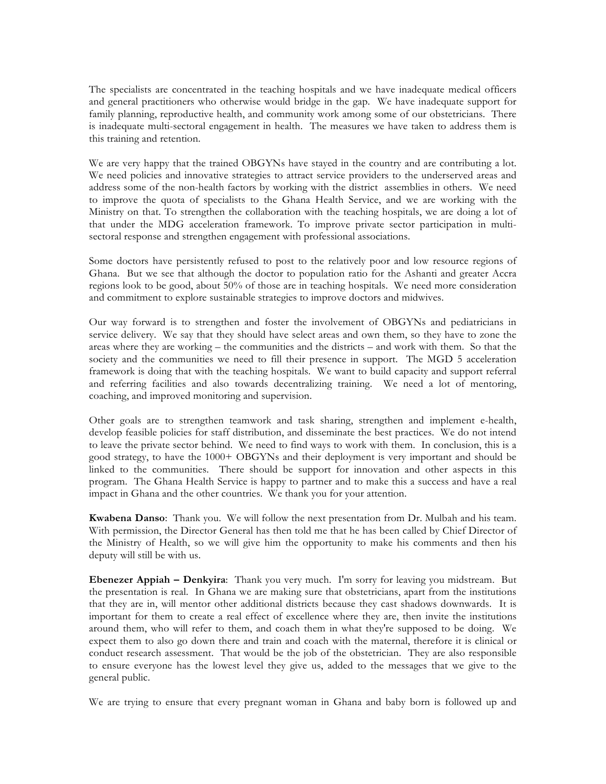The specialists are concentrated in the teaching hospitals and we have inadequate medical officers and general practitioners who otherwise would bridge in the gap. We have inadequate support for family planning, reproductive health, and community work among some of our obstetricians. There is inadequate multi-sectoral engagement in health. The measures we have taken to address them is this training and retention.

We are very happy that the trained OBGYNs have stayed in the country and are contributing a lot. We need policies and innovative strategies to attract service providers to the underserved areas and address some of the non-health factors by working with the district assemblies in others. We need to improve the quota of specialists to the Ghana Health Service, and we are working with the Ministry on that. To strengthen the collaboration with the teaching hospitals, we are doing a lot of that under the MDG acceleration framework. To improve private sector participation in multisectoral response and strengthen engagement with professional associations.

Some doctors have persistently refused to post to the relatively poor and low resource regions of Ghana. But we see that although the doctor to population ratio for the Ashanti and greater Accra regions look to be good, about 50% of those are in teaching hospitals. We need more consideration and commitment to explore sustainable strategies to improve doctors and midwives.

Our way forward is to strengthen and foster the involvement of OBGYNs and pediatricians in service delivery. We say that they should have select areas and own them, so they have to zone the areas where they are working – the communities and the districts – and work with them. So that the society and the communities we need to fill their presence in support. The MGD 5 acceleration framework is doing that with the teaching hospitals. We want to build capacity and support referral and referring facilities and also towards decentralizing training. We need a lot of mentoring, coaching, and improved monitoring and supervision.

Other goals are to strengthen teamwork and task sharing, strengthen and implement e-health, develop feasible policies for staff distribution, and disseminate the best practices. We do not intend to leave the private sector behind. We need to find ways to work with them. In conclusion, this is a good strategy, to have the 1000+ OBGYNs and their deployment is very important and should be linked to the communities. There should be support for innovation and other aspects in this program. The Ghana Health Service is happy to partner and to make this a success and have a real impact in Ghana and the other countries. We thank you for your attention.

**Kwabena Danso**: Thank you. We will follow the next presentation from Dr. Mulbah and his team. With permission, the Director General has then told me that he has been called by Chief Director of the Ministry of Health, so we will give him the opportunity to make his comments and then his deputy will still be with us.

**Ebenezer Appiah – Denkyira**: Thank you very much. I'm sorry for leaving you midstream. But the presentation is real. In Ghana we are making sure that obstetricians, apart from the institutions that they are in, will mentor other additional districts because they cast shadows downwards. It is important for them to create a real effect of excellence where they are, then invite the institutions around them, who will refer to them, and coach them in what they're supposed to be doing. We expect them to also go down there and train and coach with the maternal, therefore it is clinical or conduct research assessment. That would be the job of the obstetrician. They are also responsible to ensure everyone has the lowest level they give us, added to the messages that we give to the general public.

We are trying to ensure that every pregnant woman in Ghana and baby born is followed up and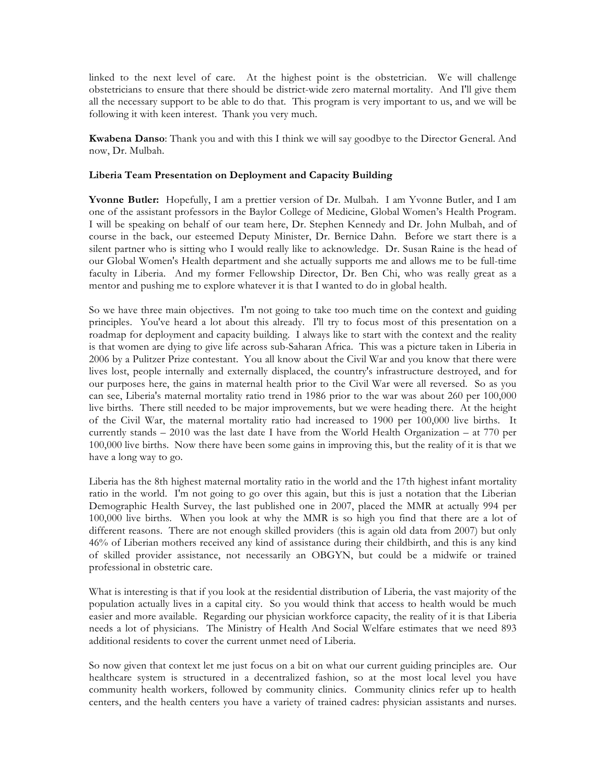linked to the next level of care. At the highest point is the obstetrician. We will challenge obstetricians to ensure that there should be district-wide zero maternal mortality. And I'll give them all the necessary support to be able to do that. This program is very important to us, and we will be following it with keen interest. Thank you very much.

**Kwabena Danso**: Thank you and with this I think we will say goodbye to the Director General. And now, Dr. Mulbah.

### **Liberia Team Presentation on Deployment and Capacity Building**

**Yvonne Butler:** Hopefully, I am a prettier version of Dr. Mulbah. I am Yvonne Butler, and I am one of the assistant professors in the Baylor College of Medicine, Global Women's Health Program. I will be speaking on behalf of our team here, Dr. Stephen Kennedy and Dr. John Mulbah, and of course in the back, our esteemed Deputy Minister, Dr. Bernice Dahn. Before we start there is a silent partner who is sitting who I would really like to acknowledge. Dr. Susan Raine is the head of our Global Women's Health department and she actually supports me and allows me to be full-time faculty in Liberia. And my former Fellowship Director, Dr. Ben Chi, who was really great as a mentor and pushing me to explore whatever it is that I wanted to do in global health.

So we have three main objectives. I'm not going to take too much time on the context and guiding principles. You've heard a lot about this already. I'll try to focus most of this presentation on a roadmap for deployment and capacity building. I always like to start with the context and the reality is that women are dying to give life across sub-Saharan Africa. This was a picture taken in Liberia in 2006 by a Pulitzer Prize contestant. You all know about the Civil War and you know that there were lives lost, people internally and externally displaced, the country's infrastructure destroyed, and for our purposes here, the gains in maternal health prior to the Civil War were all reversed. So as you can see, Liberia's maternal mortality ratio trend in 1986 prior to the war was about 260 per 100,000 live births. There still needed to be major improvements, but we were heading there. At the height of the Civil War, the maternal mortality ratio had increased to 1900 per 100,000 live births. It currently stands – 2010 was the last date I have from the World Health Organization – at 770 per 100,000 live births. Now there have been some gains in improving this, but the reality of it is that we have a long way to go.

Liberia has the 8th highest maternal mortality ratio in the world and the 17th highest infant mortality ratio in the world. I'm not going to go over this again, but this is just a notation that the Liberian Demographic Health Survey, the last published one in 2007, placed the MMR at actually 994 per 100,000 live births. When you look at why the MMR is so high you find that there are a lot of different reasons. There are not enough skilled providers (this is again old data from 2007) but only 46% of Liberian mothers received any kind of assistance during their childbirth, and this is any kind of skilled provider assistance, not necessarily an OBGYN, but could be a midwife or trained professional in obstetric care.

What is interesting is that if you look at the residential distribution of Liberia, the vast majority of the population actually lives in a capital city. So you would think that access to health would be much easier and more available. Regarding our physician workforce capacity, the reality of it is that Liberia needs a lot of physicians. The Ministry of Health And Social Welfare estimates that we need 893 additional residents to cover the current unmet need of Liberia.

So now given that context let me just focus on a bit on what our current guiding principles are. Our healthcare system is structured in a decentralized fashion, so at the most local level you have community health workers, followed by community clinics. Community clinics refer up to health centers, and the health centers you have a variety of trained cadres: physician assistants and nurses.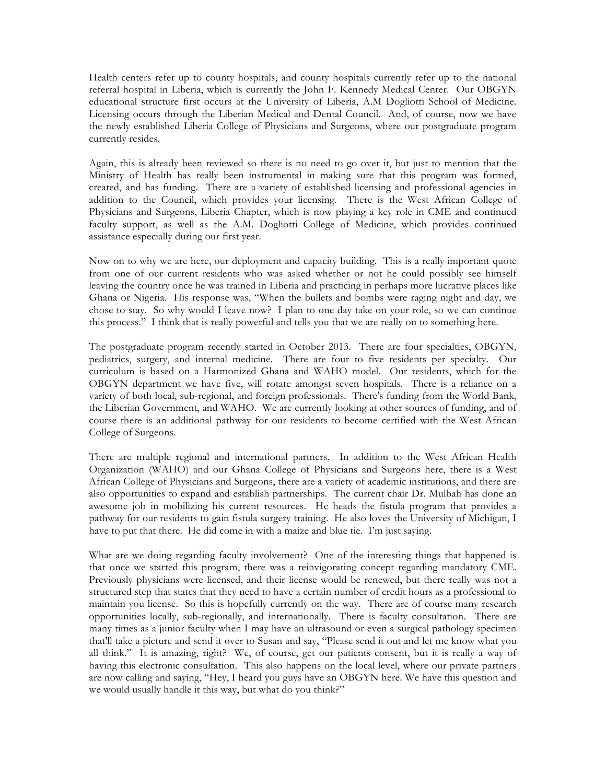Health centers refer up to county hospitals, and county hospitals currently refer up to the national referral hospital in Liberia, which is currently the John F. Kennedy Medical Center. Our OBGYN educational structure first occurs at the University of Liberia, A.M Dogliotti School of Medicine. Licensing occurs through the Liberian Medical and Dental Council. And, of course, now we have the newly established Liberia College of Physicians and Surgeons, where our postgraduate program currently resides.

Again, this is already been reviewed so there is no need to go over it, but just to mention that the Ministry of Health has really been instrumental in making sure that this program was formed, created, and has funding. There are a variety of established licensing and professional agencies in addition to the Council, which provides your licensing. There is the West African College of Physicians and Surgeons, Liberia Chapter, which is now playing a key role in CME and continued faculty support, as well as the A.M. Dogliotti College of Medicine, which provides continued assistance especially during our first year.

Now on to why we are here, our deployment and capacity building. This is a really important quote from one of our current residents who was asked whether or not he could possibly see himself leaving the country once he was trained in Liberia and practicing in perhaps more lucrative places like Ghana or Nigeria. His response was, "When the bullets and bombs were raging night and day, we chose to stay. So why would I leave now? I plan to one day take on your role, so we can continue this process." I think that is really powerful and tells you that we are really on to something here.

The postgraduate program recently started in October 2013. There are four specialties, OBGYN, pediatrics, surgery, and internal medicine. There are four to five residents per specialty. Our curriculum is based on a Harmonized Ghana and WAHO model. Our residents, which for the OBGYN department we have five, will rotate amongst seven hospitals. There is a reliance on a variety of both local, sub-regional, and foreign professionals. There's funding from the World Bank, the Liberian Government, and WAHO. We are currently looking at other sources of funding, and of course there is an additional pathway for our residents to become certified with the West African College of Surgeons.

There are multiple regional and international partners. In addition to the West African Health Organization (WAHO) and our Ghana College of Physicians and Surgeons here, there is a West African College of Physicians and Surgeons, there are a variety of academic institutions, and there are also opportunities to expand and establish partnerships. The current chair Dr. Mulbah has done an awesome job in mobilizing his current resources. He heads the fistula program that provides a pathway for our residents to gain fistula surgery training. He also loves the University of Michigan, I have to put that there. He did come in with a maize and blue tie. I'm just saying.

What are we doing regarding faculty involvement? One of the interesting things that happened is that once we started this program, there was a reinvigorating concept regarding mandatory CME. Previously physicians were licensed, and their license would be renewed, but there really was not a structured step that states that they need to have a certain number of credit hours as a professional to maintain you license. So this is hopefully currently on the way. There are of course many research opportunities locally, sub-regionally, and internationally. There is faculty consultation. There are many times as a junior faculty when I may have an ultrasound or even a surgical pathology specimen that'll take a picture and send it over to Susan and say, "Please send it out and let me know what you all think." It is amazing, right? We, of course, get our patients consent, but it is really a way of having this electronic consultation. This also happens on the local level, where our private partners are now calling and saying, "Hey, I heard you guys have an OBGYN here. We have this question and we would usually handle it this way, but what do you think?"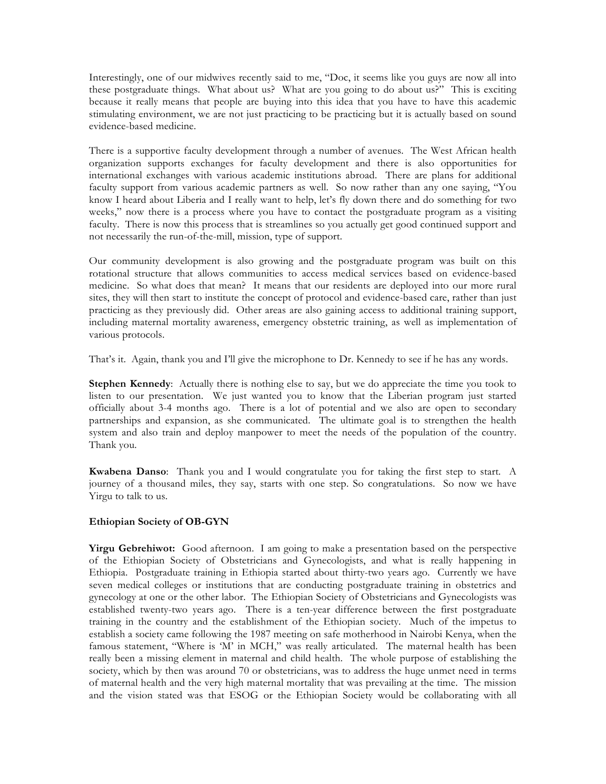Interestingly, one of our midwives recently said to me, "Doc, it seems like you guys are now all into these postgraduate things. What about us? What are you going to do about us?" This is exciting because it really means that people are buying into this idea that you have to have this academic stimulating environment, we are not just practicing to be practicing but it is actually based on sound evidence-based medicine.

There is a supportive faculty development through a number of avenues. The West African health organization supports exchanges for faculty development and there is also opportunities for international exchanges with various academic institutions abroad. There are plans for additional faculty support from various academic partners as well. So now rather than any one saying, "You know I heard about Liberia and I really want to help, let's fly down there and do something for two weeks," now there is a process where you have to contact the postgraduate program as a visiting faculty. There is now this process that is streamlines so you actually get good continued support and not necessarily the run-of-the-mill, mission, type of support.

Our community development is also growing and the postgraduate program was built on this rotational structure that allows communities to access medical services based on evidence-based medicine. So what does that mean? It means that our residents are deployed into our more rural sites, they will then start to institute the concept of protocol and evidence-based care, rather than just practicing as they previously did. Other areas are also gaining access to additional training support, including maternal mortality awareness, emergency obstetric training, as well as implementation of various protocols.

That's it. Again, thank you and I'll give the microphone to Dr. Kennedy to see if he has any words.

**Stephen Kennedy**: Actually there is nothing else to say, but we do appreciate the time you took to listen to our presentation. We just wanted you to know that the Liberian program just started officially about 3-4 months ago. There is a lot of potential and we also are open to secondary partnerships and expansion, as she communicated. The ultimate goal is to strengthen the health system and also train and deploy manpower to meet the needs of the population of the country. Thank you.

**Kwabena Danso**: Thank you and I would congratulate you for taking the first step to start. A journey of a thousand miles, they say, starts with one step. So congratulations. So now we have Yirgu to talk to us.

## **Ethiopian Society of OB-GYN**

**Yirgu Gebrehiwot:** Good afternoon. I am going to make a presentation based on the perspective of the Ethiopian Society of Obstetricians and Gynecologists, and what is really happening in Ethiopia. Postgraduate training in Ethiopia started about thirty-two years ago. Currently we have seven medical colleges or institutions that are conducting postgraduate training in obstetrics and gynecology at one or the other labor. The Ethiopian Society of Obstetricians and Gynecologists was established twenty-two years ago. There is a ten-year difference between the first postgraduate training in the country and the establishment of the Ethiopian society. Much of the impetus to establish a society came following the 1987 meeting on safe motherhood in Nairobi Kenya, when the famous statement, "Where is 'M' in MCH," was really articulated. The maternal health has been really been a missing element in maternal and child health. The whole purpose of establishing the society, which by then was around 70 or obstetricians, was to address the huge unmet need in terms of maternal health and the very high maternal mortality that was prevailing at the time. The mission and the vision stated was that ESOG or the Ethiopian Society would be collaborating with all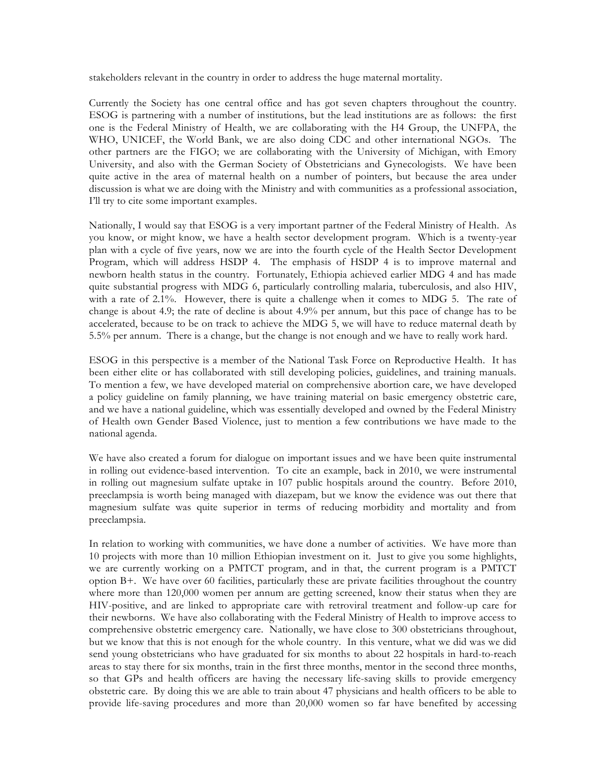stakeholders relevant in the country in order to address the huge maternal mortality.

Currently the Society has one central office and has got seven chapters throughout the country. ESOG is partnering with a number of institutions, but the lead institutions are as follows: the first one is the Federal Ministry of Health, we are collaborating with the H4 Group, the UNFPA, the WHO, UNICEF, the World Bank, we are also doing CDC and other international NGOs. The other partners are the FIGO; we are collaborating with the University of Michigan, with Emory University, and also with the German Society of Obstetricians and Gynecologists. We have been quite active in the area of maternal health on a number of pointers, but because the area under discussion is what we are doing with the Ministry and with communities as a professional association, I'll try to cite some important examples.

Nationally, I would say that ESOG is a very important partner of the Federal Ministry of Health. As you know, or might know, we have a health sector development program. Which is a twenty-year plan with a cycle of five years, now we are into the fourth cycle of the Health Sector Development Program, which will address HSDP 4. The emphasis of HSDP 4 is to improve maternal and newborn health status in the country. Fortunately, Ethiopia achieved earlier MDG 4 and has made quite substantial progress with MDG 6, particularly controlling malaria, tuberculosis, and also HIV, with a rate of 2.1%. However, there is quite a challenge when it comes to MDG 5. The rate of change is about 4.9; the rate of decline is about 4.9% per annum, but this pace of change has to be accelerated, because to be on track to achieve the MDG 5, we will have to reduce maternal death by 5.5% per annum. There is a change, but the change is not enough and we have to really work hard.

ESOG in this perspective is a member of the National Task Force on Reproductive Health. It has been either elite or has collaborated with still developing policies, guidelines, and training manuals. To mention a few, we have developed material on comprehensive abortion care, we have developed a policy guideline on family planning, we have training material on basic emergency obstetric care, and we have a national guideline, which was essentially developed and owned by the Federal Ministry of Health own Gender Based Violence, just to mention a few contributions we have made to the national agenda.

We have also created a forum for dialogue on important issues and we have been quite instrumental in rolling out evidence-based intervention. To cite an example, back in 2010, we were instrumental in rolling out magnesium sulfate uptake in 107 public hospitals around the country. Before 2010, preeclampsia is worth being managed with diazepam, but we know the evidence was out there that magnesium sulfate was quite superior in terms of reducing morbidity and mortality and from preeclampsia.

In relation to working with communities, we have done a number of activities. We have more than 10 projects with more than 10 million Ethiopian investment on it. Just to give you some highlights, we are currently working on a PMTCT program, and in that, the current program is a PMTCT option B+. We have over 60 facilities, particularly these are private facilities throughout the country where more than 120,000 women per annum are getting screened, know their status when they are HIV-positive, and are linked to appropriate care with retroviral treatment and follow-up care for their newborns. We have also collaborating with the Federal Ministry of Health to improve access to comprehensive obstetric emergency care. Nationally, we have close to 300 obstetricians throughout, but we know that this is not enough for the whole country. In this venture, what we did was we did send young obstetricians who have graduated for six months to about 22 hospitals in hard-to-reach areas to stay there for six months, train in the first three months, mentor in the second three months, so that GPs and health officers are having the necessary life-saving skills to provide emergency obstetric care. By doing this we are able to train about 47 physicians and health officers to be able to provide life-saving procedures and more than 20,000 women so far have benefited by accessing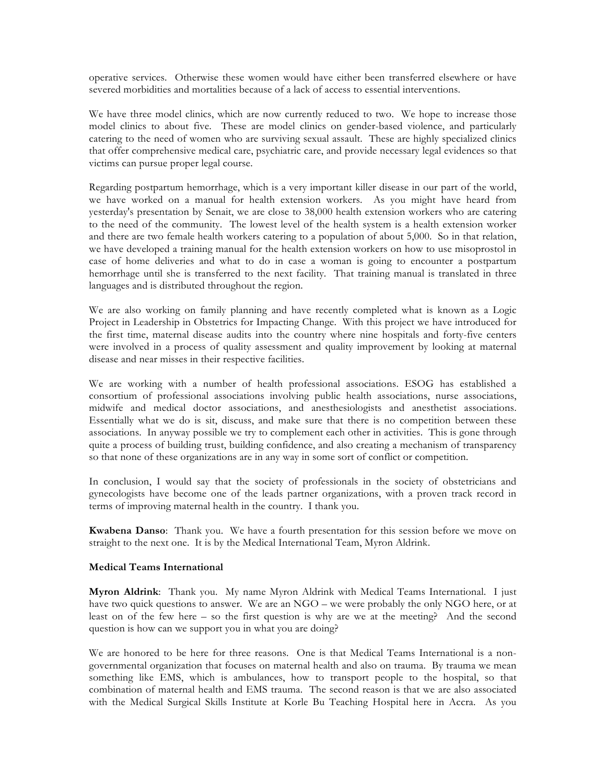operative services. Otherwise these women would have either been transferred elsewhere or have severed morbidities and mortalities because of a lack of access to essential interventions.

We have three model clinics, which are now currently reduced to two. We hope to increase those model clinics to about five. These are model clinics on gender-based violence, and particularly catering to the need of women who are surviving sexual assault. These are highly specialized clinics that offer comprehensive medical care, psychiatric care, and provide necessary legal evidences so that victims can pursue proper legal course.

Regarding postpartum hemorrhage, which is a very important killer disease in our part of the world, we have worked on a manual for health extension workers. As you might have heard from yesterday's presentation by Senait, we are close to 38,000 health extension workers who are catering to the need of the community. The lowest level of the health system is a health extension worker and there are two female health workers catering to a population of about 5,000. So in that relation, we have developed a training manual for the health extension workers on how to use misoprostol in case of home deliveries and what to do in case a woman is going to encounter a postpartum hemorrhage until she is transferred to the next facility. That training manual is translated in three languages and is distributed throughout the region.

We are also working on family planning and have recently completed what is known as a Logic Project in Leadership in Obstetrics for Impacting Change. With this project we have introduced for the first time, maternal disease audits into the country where nine hospitals and forty-five centers were involved in a process of quality assessment and quality improvement by looking at maternal disease and near misses in their respective facilities.

We are working with a number of health professional associations. ESOG has established a consortium of professional associations involving public health associations, nurse associations, midwife and medical doctor associations, and anesthesiologists and anesthetist associations. Essentially what we do is sit, discuss, and make sure that there is no competition between these associations. In anyway possible we try to complement each other in activities. This is gone through quite a process of building trust, building confidence, and also creating a mechanism of transparency so that none of these organizations are in any way in some sort of conflict or competition.

In conclusion, I would say that the society of professionals in the society of obstetricians and gynecologists have become one of the leads partner organizations, with a proven track record in terms of improving maternal health in the country. I thank you.

**Kwabena Danso**: Thank you. We have a fourth presentation for this session before we move on straight to the next one. It is by the Medical International Team, Myron Aldrink.

#### **Medical Teams International**

**Myron Aldrink**: Thank you. My name Myron Aldrink with Medical Teams International. I just have two quick questions to answer. We are an NGO – we were probably the only NGO here, or at least on of the few here – so the first question is why are we at the meeting? And the second question is how can we support you in what you are doing?

We are honored to be here for three reasons. One is that Medical Teams International is a nongovernmental organization that focuses on maternal health and also on trauma. By trauma we mean something like EMS, which is ambulances, how to transport people to the hospital, so that combination of maternal health and EMS trauma. The second reason is that we are also associated with the Medical Surgical Skills Institute at Korle Bu Teaching Hospital here in Accra. As you